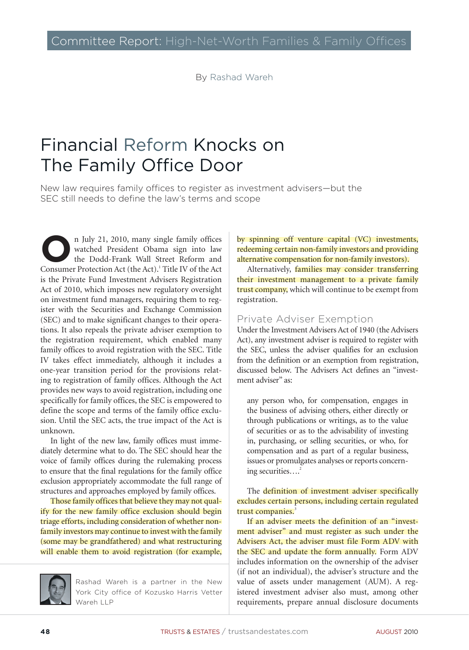By Rashad Wareh

# Financial Reform Knocks on The Family Office Door

New law requires family offices to register as investment advisers—but the SEC still needs to define the law's terms and scope

In July 21, 2010, many single family offices<br>watched President Obama sign into law<br>the Dodd-Frank Wall Street Reform and watched President Obama sign into law the Dodd-Frank Wall Street Reform and Consumer Protection Act (the Act).<sup>1</sup> Title IV of the Act is the Private Fund Investment Advisers Registration Act of 2010, which imposes new regulatory oversight on investment fund managers, requiring them to register with the Securities and Exchange Commission (SEC) and to make significant changes to their operations. It also repeals the private adviser exemption to the registration requirement, which enabled many family offices to avoid registration with the SEC. Title IV takes effect immediately, although it includes a one-year transition period for the provisions relating to registration of family offices. Although the Act provides new ways to avoid registration, including one specifically for family offices, the SEC is empowered to define the scope and terms of the family office exclusion. Until the SEC acts, the true impact of the Act is unknown.

In light of the new law, family offices must immediately determine what to do. The SEC should hear the voice of family offices during the rulemaking process to ensure that the final regulations for the family office exclusion appropriately accommodate the full range of structures and approaches employed by family offices.

Those family offices that believe they may not qualify for the new family office exclusion should begin triage efforts, including consideration of whether nonfamily investors may continue to invest with the family (some may be grandfathered) and what restructuring will enable them to avoid registration (for example,

Rashad Wareh is a partner in the New York City office of Kozusko Harris Vetter Wareh LLP

by spinning off venture capital (VC) investments, redeeming certain non-family investors and providing alternative compensation for non-family investors).

Alternatively, families may consider transferring their investment management to a private family trust company, which will continue to be exempt from registration.

### Private Adviser Exemption

Under the Investment Advisers Act of 1940 (the Advisers Act), any investment adviser is required to register with the SEC, unless the adviser qualifies for an exclusion from the definition or an exemption from registration, discussed below. The Advisers Act defines an "investment adviser" as:

any person who, for compensation, engages in the business of advising others, either directly or through publications or writings, as to the value of securities or as to the advisability of investing in, purchasing, or selling securities, or who, for compensation and as part of a regular business, issues or promulgates analyses or reports concerning securities....<sup>2</sup>

The definition of investment adviser specifically excludes certain persons, including certain regulated trust companies.<sup>3</sup>

If an adviser meets the definition of an "investment adviser" and must register as such under the Advisers Act, the adviser must file Form ADV with the SEC and update the form annually. Form ADV includes information on the ownership of the adviser (if not an individual), the adviser's structure and the value of assets under management (AUM). A registered investment adviser also must, among other requirements, prepare annual disclosure documents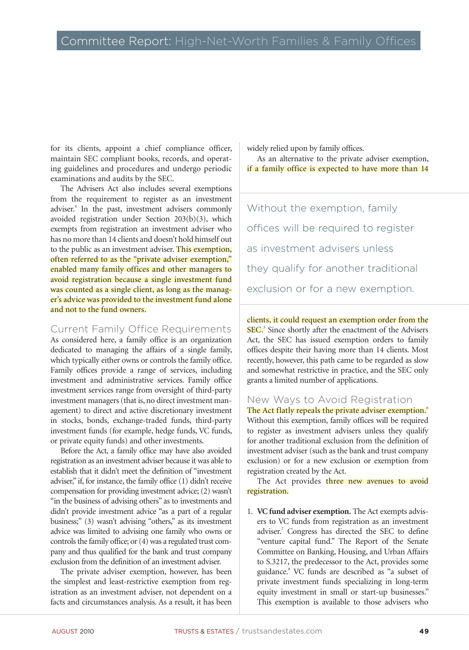# Committee Report: High-Net-Worth Families & Family Offices

for its clients, appoint a chief compliance officer, maintain SEC compliant books, records, and operating guidelines and procedures and undergo periodic examinations and audits by the SEC.

The Advisers Act also includes several exemptions from the requirement to register as an investment adviser.4 In the past, investment advisers commonly avoided registration under Section 203(b)(3), which exempts from registration an investment adviser who has no more than 14 clients and doesn't hold himself out to the public as an investment adviser. This exemption, often referred to as the "private adviser exemption," enabled many family offices and other managers to avoid registration because a single investment fund was counted as a single client, as long as the manager's advice was provided to the investment fund alone and not to the fund owners.

Current Family Office Requirements

As considered here, a family office is an organization dedicated to managing the affairs of a single family, which typically either owns or controls the family office. Family offices provide a range of services, including investment and administrative services. Family office investment services range from oversight of third-party investment managers (that is, no direct investment management) to direct and active discretionary investment in stocks, bonds, exchange-traded funds, third-party investment funds (for example, hedge funds, VC funds, or private equity funds) and other investments.

Before the Act, a family office may have also avoided registration as an investment adviser because it was able to establish that it didn't meet the definition of "investment adviser," if, for instance, the family office (1) didn't receive compensation for providing investment advice; (2) wasn't "in the business of advising others" as to investments and didn't provide investment advice "as a part of a regular business;" (3) wasn't advising "others," as its investment advice was limited to advising one family who owns or controls the family office; or (4) was a regulated trust company and thus qualified for the bank and trust company exclusion from the definition of an investment adviser.

The private adviser exemption, however, has been the simplest and least-restrictive exemption from registration as an investment adviser, not dependent on a facts and circumstances analysis. As a result, it has been

widely relied upon by family offices.

As an alternative to the private adviser exemption, if a family office is expected to have more than 14

Without the exemption, family offices will be required to register as investment advisers unless they qualify for another traditional exclusion or for a new exemption.

clients, it could request an exemption order from the SEC.<sup>5</sup> Since shortly after the enactment of the Advisers Act, the SEC has issued exemption orders to family offices despite their having more than 14 clients. Most recently, however, this path came to be regarded as slow and somewhat restrictive in practice, and the SEC only grants a limited number of applications.

New Ways to Avoid Registration

The Act flatly repeals the private adviser exemption.<sup>6</sup> Without this exemption, family offices will be required to register as investment advisers unless they qualify for another traditional exclusion from the definition of investment adviser (such as the bank and trust company exclusion) or for a new exclusion or exemption from registration created by the Act.

The Act provides three new avenues to avoid registration.

1. **VC fund adviser exemption.** The Act exempts advisers to VC funds from registration as an investment adviser.<sup>7</sup> Congress has directed the SEC to define "venture capital fund." The Report of the Senate Committee on Banking, Housing, and Urban Affairs to S.3217, the predecessor to the Act, provides some guidance.<sup>8</sup> VC funds are described as "a subset of private investment funds specializing in long-term equity investment in small or start-up businesses." This exemption is available to those advisers who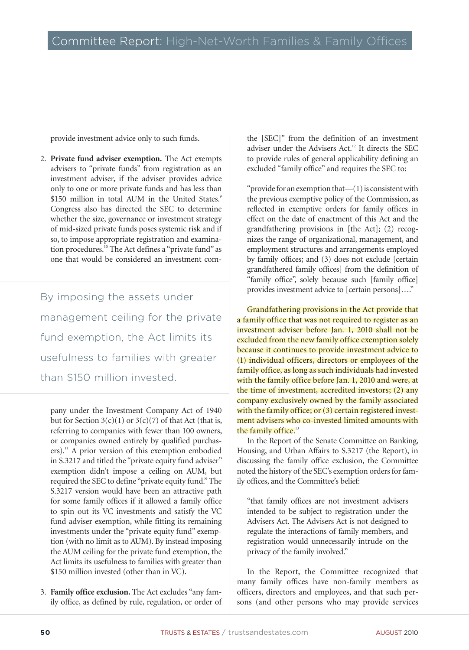provide investment advice only to such funds.

2. **Private fund adviser exemption.** The Act exempts advisers to "private funds" from registration as an investment adviser, if the adviser provides advice only to one or more private funds and has less than \$150 million in total AUM in the United States.<sup>9</sup> Congress also has directed the SEC to determine whether the size, governance or investment strategy of mid-sized private funds poses systemic risk and if so, to impose appropriate registration and examination procedures.10 The Act defines a "private fund" as one that would be considered an investment com-

By imposing the assets under management ceiling for the private fund exemption, the Act limits its usefulness to families with greater than \$150 million invested.

pany under the Investment Company Act of 1940 but for Section  $3(c)(1)$  or  $3(c)(7)$  of that Act (that is, referring to companies with fewer than 100 owners, or companies owned entirely by qualified purchasers).<sup>11</sup> A prior version of this exemption embodied in S.3217 and titled the "private equity fund adviser" exemption didn't impose a ceiling on AUM, but required the SEC to define "private equity fund." The S.3217 version would have been an attractive path for some family offices if it allowed a family office to spin out its VC investments and satisfy the VC fund adviser exemption, while fitting its remaining investments under the "private equity fund" exemption (with no limit as to AUM). By instead imposing the AUM ceiling for the private fund exemption, the Act limits its usefulness to families with greater than \$150 million invested (other than in VC).

3. **Family office exclusion.** The Act excludes "any family office, as defined by rule, regulation, or order of the [SEC]" from the definition of an investment adviser under the Advisers Act.<sup>12</sup> It directs the SEC to provide rules of general applicability defining an excluded "family office" and requires the SEC to:

"provide for an exemption that  $-(1)$  is consistent with the previous exemptive policy of the Commission, as reflected in exemptive orders for family offices in effect on the date of enactment of this Act and the grandfathering provisions in [the Act]; (2) recognizes the range of organizational, management, and employment structures and arrangements employed by family offices; and (3) does not exclude [certain grandfathered family offices] from the definition of "family office", solely because such [family office] provides investment advice to [certain persons]…."

Grandfathering provisions in the Act provide that a family office that was not required to register as an investment adviser before Jan. 1, 2010 shall not be excluded from the new family office exemption solely because it continues to provide investment advice to (1) individual officers, directors or employees of the family office, as long as such individuals had invested with the family office before Jan. 1, 2010 and were, at the time of investment, accredited investors; (2) any company exclusively owned by the family associated with the family office; or (3) certain registered investment advisers who co-invested limited amounts with the family office.<sup>13</sup>

In the Report of the Senate Committee on Banking, Housing, and Urban Affairs to S.3217 (the Report), in discussing the family office exclusion, the Committee noted the history of the SEC's exemption orders for family offices, and the Committee's belief:

"that family offices are not investment advisers intended to be subject to registration under the Advisers Act. The Advisers Act is not designed to regulate the interactions of family members, and registration would unnecessarily intrude on the privacy of the family involved."

In the Report, the Committee recognized that many family offices have non-family members as officers, directors and employees, and that such persons (and other persons who may provide services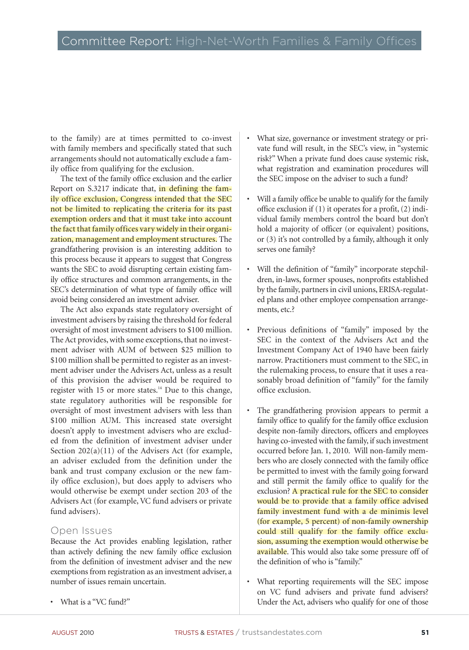to the family) are at times permitted to co-invest with family members and specifically stated that such arrangements should not automatically exclude a family office from qualifying for the exclusion.

The text of the family office exclusion and the earlier Report on S.3217 indicate that, in defining the family office exclusion, Congress intended that the SEC not be limited to replicating the criteria for its past exemption orders and that it must take into account the fact that family offices vary widely in their organization, management and employment structures. The grandfathering provision is an interesting addition to this process because it appears to suggest that Congress wants the SEC to avoid disrupting certain existing family office structures and common arrangements, in the SEC's determination of what type of family office will avoid being considered an investment adviser.

The Act also expands state regulatory oversight of investment advisers by raising the threshold for federal oversight of most investment advisers to \$100 million. The Act provides, with some exceptions, that no investment adviser with AUM of between \$25 million to \$100 million shall be permitted to register as an investment adviser under the Advisers Act, unless as a result of this provision the adviser would be required to register with 15 or more states.<sup>14</sup> Due to this change, state regulatory authorities will be responsible for oversight of most investment advisers with less than \$100 million AUM. This increased state oversight doesn't apply to investment advisers who are excluded from the definition of investment adviser under Section  $202(a)(11)$  of the Advisers Act (for example, an adviser excluded from the definition under the bank and trust company exclusion or the new family office exclusion), but does apply to advisers who would otherwise be exempt under section 203 of the Advisers Act (for example, VC fund advisers or private fund advisers).

#### Open Issues

Because the Act provides enabling legislation, rather than actively defining the new family office exclusion from the definition of investment adviser and the new exemptions from registration as an investment adviser, a number of issues remain uncertain.

• What is a "VC fund?"

- What size, governance or investment strategy or private fund will result, in the SEC's view, in "systemic risk?" When a private fund does cause systemic risk, what registration and examination procedures will the SEC impose on the adviser to such a fund?
- Will a family office be unable to qualify for the family office exclusion if (1) it operates for a profit, (2) individual family members control the board but don't hold a majority of officer (or equivalent) positions, or (3) it's not controlled by a family, although it only serves one family?
- Will the definition of "family" incorporate stepchildren, in-laws, former spouses, nonprofits established by the family, partners in civil unions, ERISA-regulated plans and other employee compensation arrangements, etc.?
- Previous definitions of "family" imposed by the SEC in the context of the Advisers Act and the Investment Company Act of 1940 have been fairly narrow. Practitioners must comment to the SEC, in the rulemaking process, to ensure that it uses a reasonably broad definition of "family" for the family office exclusion.
- The grandfathering provision appears to permit a family office to qualify for the family office exclusion despite non-family directors, officers and employees having co-invested with the family, if such investment occurred before Jan. 1, 2010. Will non-family members who are closely connected with the family office be permitted to invest with the family going forward and still permit the family office to qualify for the exclusion? A practical rule for the SEC to consider would be to provide that a family office advised family investment fund with a de minimis level (for example, 5 percent) of non-family ownership could still qualify for the family office exclusion, assuming the exemption would otherwise be available. This would also take some pressure off of the definition of who is "family."
- What reporting requirements will the SEC impose on VC fund advisers and private fund advisers? Under the Act, advisers who qualify for one of those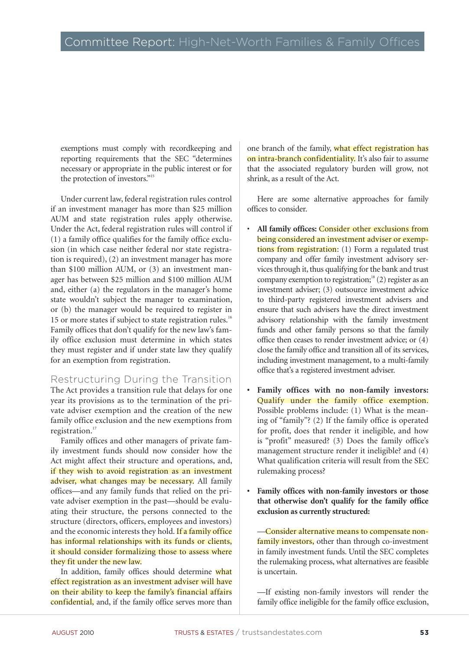exemptions must comply with recordkeeping and reporting requirements that the SEC "determines necessary or appropriate in the public interest or for the protection of investors."15

Under current law, federal registration rules control if an investment manager has more than \$25 million AUM and state registration rules apply otherwise. Under the Act, federal registration rules will control if (1) a family office qualifies for the family office exclusion (in which case neither federal nor state registration is required), (2) an investment manager has more than \$100 million AUM, or (3) an investment manager has between \$25 million and \$100 million AUM and, either (a) the regulators in the manager's home state wouldn't subject the manager to examination, or (b) the manager would be required to register in 15 or more states if subject to state registration rules.<sup>16</sup> Family offices that don't qualify for the new law's family office exclusion must determine in which states they must register and if under state law they qualify for an exemption from registration.

## Restructuring During the Transition

The Act provides a transition rule that delays for one year its provisions as to the termination of the private adviser exemption and the creation of the new family office exclusion and the new exemptions from registration.<sup>17</sup>

Family offices and other managers of private family investment funds should now consider how the Act might affect their structure and operations, and, if they wish to avoid registration as an investment adviser, what changes may be necessary. All family offices—and any family funds that relied on the private adviser exemption in the past—should be evaluating their structure, the persons connected to the structure (directors, officers, employees and investors) and the economic interests they hold. If a family office has informal relationships with its funds or clients, it should consider formalizing those to assess where they fit under the new law.

In addition, family offices should determine what effect registration as an investment adviser will have on their ability to keep the family's financial affairs confidential, and, if the family office serves more than

one branch of the family, what effect registration has on intra-branch confidentiality. It's also fair to assume that the associated regulatory burden will grow, not shrink, as a result of the Act.

Here are some alternative approaches for family offices to consider.

- **All family offices:** Consider other exclusions from being considered an investment adviser or exemptions from registration: (1) Form a regulated trust company and offer family investment advisory services through it, thus qualifying for the bank and trust company exemption to registration;<sup>18</sup> (2) register as an investment adviser; (3) outsource investment advice to third-party registered investment advisers and ensure that such advisers have the direct investment advisory relationship with the family investment funds and other family persons so that the family office then ceases to render investment advice; or (4) close the family office and transition all of its services, including investment management, to a multi-family office that's a registered investment adviser.
- **• Family offices with no non-family investors:** Qualify under the family office exemption. Possible problems include: (1) What is the meaning of "family"? (2) If the family office is operated for profit, does that render it ineligible, and how is "profit" measured? (3) Does the family office's management structure render it ineligible? and (4) What qualification criteria will result from the SEC rulemaking process?
- **• Family offices with non-family investors or those that otherwise don't qualify for the family office exclusion as currently structured:**

—Consider alternative means to compensate nonfamily investors, other than through co-investment in family investment funds. Until the SEC completes the rulemaking process, what alternatives are feasible is uncertain.

—If existing non-family investors will render the family office ineligible for the family office exclusion,